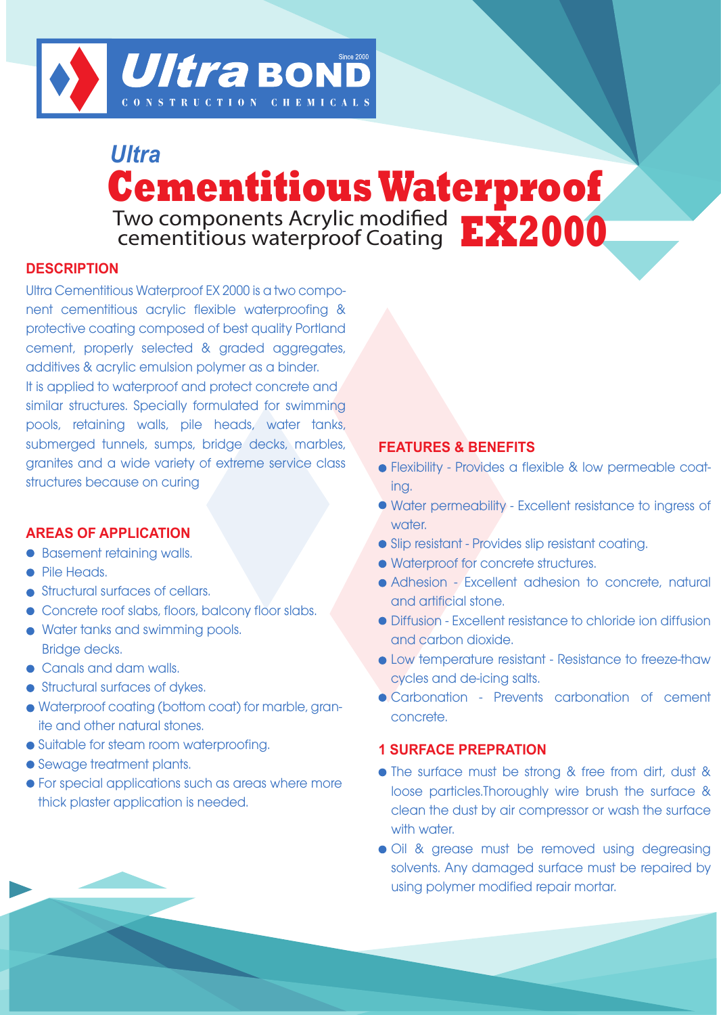

# **Cementitious Waterproof** *Ultra* Two components Acrylic modified cementitious waterproof Coating **EX2000**

# **DESCRIPTION**

Ultra Cementitious Waterproof EX 2000 is a two component cementitious acrylic flexible waterproofing & protective coating composed of best quality Portland cement, properly selected & graded aggregates, additives & acrylic emulsion polymer as a binder. It is applied to waterproof and protect concrete and similar structures. Specially formulated for swimming pools, retaining walls, pile heads, water tanks, submerged tunnels, sumps, bridge decks, marbles, granites and a wide variety of extreme service class structures because on curing

### **AREAS OF APPLICATION**

- **Basement retaining walls.**
- Pile Heads.
- **Structural surfaces of cellars.**
- Concrete roof slabs, floors, balcony floor slabs.
- Water tanks and swimming pools. Bridge decks.
- Canals and dam walls.
- **•** Structural surfaces of dykes.
- Waterproof coating (bottom coat) for marble, granite and other natural stones.
- Suitable for steam room waterproofing.
- Sewage treatment plants.
- **•** For special applications such as areas where more thick plaster application is needed.

# **FEATURES & BENEFITS**

- Flexibility Provides a flexible & low permeable coating.
- Water permeability Excellent resistance to ingress of water.
- Slip resistant Provides slip resistant coating.
- Waterproof for concrete structures.
- Adhesion Excellent adhesion to concrete, natural and artificial stone.
- Diffusion Excellent resistance to chloride ion diffusion and carbon dioxide.
- Low temperature resistant Resistance to freeze-thaw cycles and de-icing salts.
- Carbonation Prevents carbonation of cement concrete.

## **1 SURFACE PREPRATION**

- The surface must be strong & free from dirt, dust & loose particles.Thoroughly wire brush the surface & clean the dust by air compressor or wash the surface with water.
- $\bullet$  Oil & grease must be removed using degreasing solvents. Any damaged surface must be repaired by using polymer modified repair mortar.